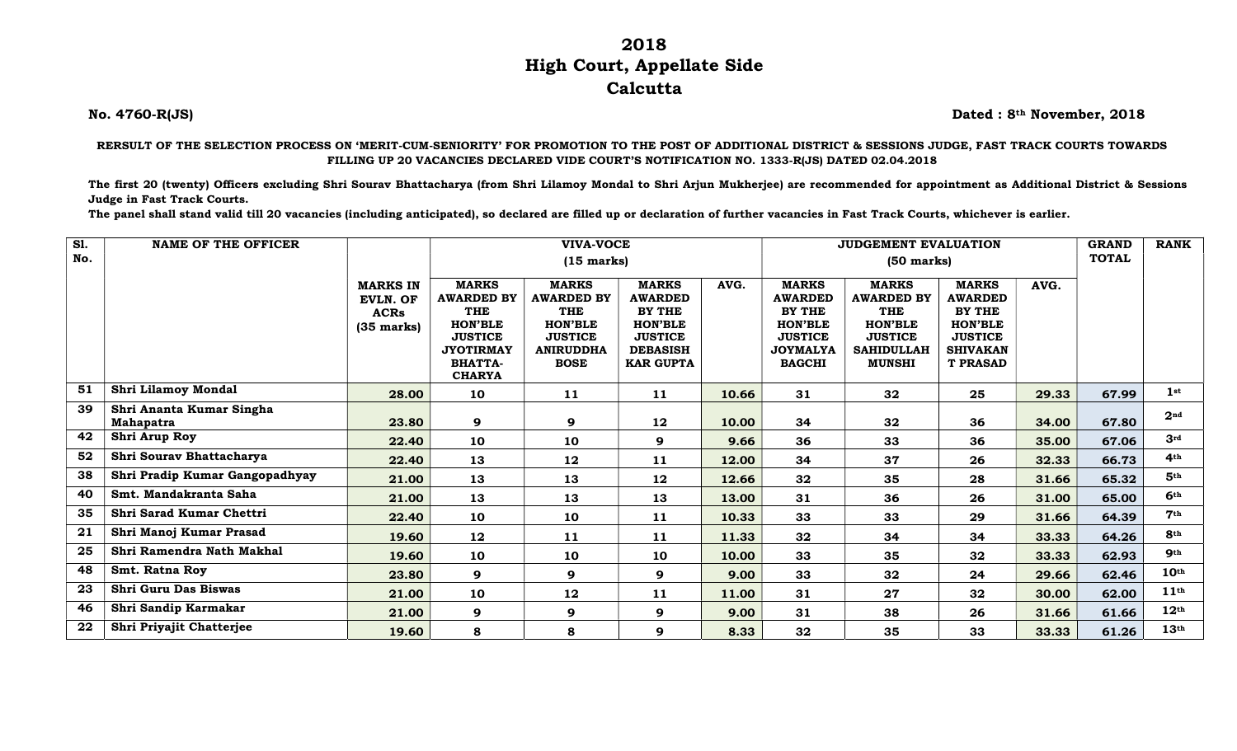## 2018 High Court, Appellate Side **Calcutta**

No. 4760-R(JS) Dated : 8th November, 2018

RERSULT OF THE SELECTION PROCESS ON 'MERIT-CUM-SENIORITY' FOR PROMOTION TO THE POST OF ADDITIONAL DISTRICT & SESSIONS JUDGE, FAST TRACK COURTS TOWARDS FILLING UP 20 VACANCIES DECLARED VIDE COURT'S NOTIFICATION NO. 1333-R(JS) DATED 02.04.2018

The first 20 (twenty) Officers excluding Shri Sourav Bhattacharya (from Shri Lilamoy Mondal to Shri Arjun Mukherjee) are recommended for appointment as Additional District & Sessions Judge in Fast Track Courts.

The panel shall stand valid till 20 vacancies (including anticipated), so declared are filled up or declaration of further vacancies in Fast Track Courts, whichever is earlier.

| $\overline{sl}$ . | <b>NAME OF THE OFFICER</b>                   |                                                                   | <b>VIVA-VOCE</b>                                                                                                                    |                                                                                                                        |                                                                                                                            |       | <b>JUDGEMENT EVALUATION</b>                                                                                             |                                                                                                                           |                                                                                                                           |       |       | <b>RANK</b>      |
|-------------------|----------------------------------------------|-------------------------------------------------------------------|-------------------------------------------------------------------------------------------------------------------------------------|------------------------------------------------------------------------------------------------------------------------|----------------------------------------------------------------------------------------------------------------------------|-------|-------------------------------------------------------------------------------------------------------------------------|---------------------------------------------------------------------------------------------------------------------------|---------------------------------------------------------------------------------------------------------------------------|-------|-------|------------------|
| No.               |                                              |                                                                   |                                                                                                                                     | $(15 \text{ marks})$                                                                                                   |                                                                                                                            |       | <b>TOTAL</b>                                                                                                            |                                                                                                                           |                                                                                                                           |       |       |                  |
|                   |                                              | <b>MARKS IN</b><br><b>EVLN. OF</b><br><b>ACRs</b><br>$(35$ marks) | <b>MARKS</b><br><b>AWARDED BY</b><br>THE<br><b>HON'BLE</b><br><b>JUSTICE</b><br><b>JYOTIRMAY</b><br><b>BHATTA-</b><br><b>CHARYA</b> | <b>MARKS</b><br><b>AWARDED BY</b><br><b>THE</b><br><b>HON'BLE</b><br><b>JUSTICE</b><br><b>ANIRUDDHA</b><br><b>BOSE</b> | <b>MARKS</b><br><b>AWARDED</b><br><b>BY THE</b><br><b>HON'BLE</b><br><b>JUSTICE</b><br><b>DEBASISH</b><br><b>KAR GUPTA</b> | AVG.  | <b>MARKS</b><br><b>AWARDED</b><br><b>BY THE</b><br><b>HON'BLE</b><br><b>JUSTICE</b><br><b>JOYMALYA</b><br><b>BAGCHI</b> | <b>MARKS</b><br><b>AWARDED BY</b><br><b>THE</b><br><b>HON'BLE</b><br><b>JUSTICE</b><br><b>SAHIDULLAH</b><br><b>MUNSHI</b> | <b>MARKS</b><br><b>AWARDED</b><br><b>BY THE</b><br><b>HON'BLE</b><br><b>JUSTICE</b><br><b>SHIVAKAN</b><br><b>T PRASAD</b> | AVG.  |       |                  |
| 51                | Shri Lilamoy Mondal                          | 28.00                                                             | 10                                                                                                                                  | 11                                                                                                                     | 11                                                                                                                         | 10.66 | 31                                                                                                                      | 32                                                                                                                        | 25                                                                                                                        | 29.33 | 67.99 | 1st              |
| 39                | Shri Ananta Kumar Singha<br><b>Mahapatra</b> | 23.80                                                             | 9                                                                                                                                   | 9                                                                                                                      | 12                                                                                                                         | 10.00 | 34                                                                                                                      | 32                                                                                                                        | 36                                                                                                                        | 34.00 | 67.80 | 2 <sup>nd</sup>  |
| 42                | Shri Arup Roy                                | 22.40                                                             | 10                                                                                                                                  | 10                                                                                                                     | 9                                                                                                                          | 9.66  | 36                                                                                                                      | 33                                                                                                                        | 36                                                                                                                        | 35.00 | 67.06 | 3rd              |
| 52                | Shri Sourav Bhattacharya                     | 22.40                                                             | 13                                                                                                                                  | 12                                                                                                                     | 11                                                                                                                         | 12.00 | 34                                                                                                                      | 37                                                                                                                        | 26                                                                                                                        | 32.33 | 66.73 | 4 <sub>th</sub>  |
| 38                | Shri Pradip Kumar Gangopadhyay               | 21.00                                                             | 13                                                                                                                                  | 13                                                                                                                     | 12                                                                                                                         | 12.66 | 32                                                                                                                      | 35                                                                                                                        | 28                                                                                                                        | 31.66 | 65.32 | 5 <sup>th</sup>  |
| 40                | Smt. Mandakranta Saha                        | 21.00                                                             | 13                                                                                                                                  | 13                                                                                                                     | 13                                                                                                                         | 13.00 | 31                                                                                                                      | 36                                                                                                                        | 26                                                                                                                        | 31.00 | 65.00 | 6 <sup>th</sup>  |
| 35                | Shri Sarad Kumar Chettri                     | 22.40                                                             | 10                                                                                                                                  | 10                                                                                                                     | 11                                                                                                                         | 10.33 | 33                                                                                                                      | 33                                                                                                                        | 29                                                                                                                        | 31.66 | 64.39 | 7 <sup>th</sup>  |
| 21                | Shri Manoj Kumar Prasad                      | 19.60                                                             | 12                                                                                                                                  | 11                                                                                                                     | 11                                                                                                                         | 11.33 | 32                                                                                                                      | 34                                                                                                                        | 34                                                                                                                        | 33.33 | 64.26 | 8 <sub>th</sub>  |
| 25                | Shri Ramendra Nath Makhal                    | 19.60                                                             | 10                                                                                                                                  | 10                                                                                                                     | 10                                                                                                                         | 10.00 | 33                                                                                                                      | 35                                                                                                                        | 32                                                                                                                        | 33.33 | 62.93 | <b>9th</b>       |
| 48                | Smt. Ratna Roy                               | 23.80                                                             | 9                                                                                                                                   | 9                                                                                                                      | 9                                                                                                                          | 9.00  | 33                                                                                                                      | 32                                                                                                                        | 24                                                                                                                        | 29.66 | 62.46 | 10 <sup>th</sup> |
| 23                | <b>Shri Guru Das Biswas</b>                  | 21.00                                                             | 10                                                                                                                                  | 12                                                                                                                     | 11                                                                                                                         | 11.00 | 31                                                                                                                      | 27                                                                                                                        | 32                                                                                                                        | 30.00 | 62.00 | 11 <sup>th</sup> |
| 46                | Shri Sandip Karmakar                         | 21.00                                                             | 9                                                                                                                                   | 9                                                                                                                      | 9                                                                                                                          | 9.00  | 31                                                                                                                      | 38                                                                                                                        | 26                                                                                                                        | 31.66 | 61.66 | 12 <sup>th</sup> |
| 22                | Shri Priyajit Chatterjee                     | 19.60                                                             | 8                                                                                                                                   | 8                                                                                                                      | 9                                                                                                                          | 8.33  | 32                                                                                                                      | 35                                                                                                                        | 33                                                                                                                        | 33.33 | 61.26 | 13 <sup>th</sup> |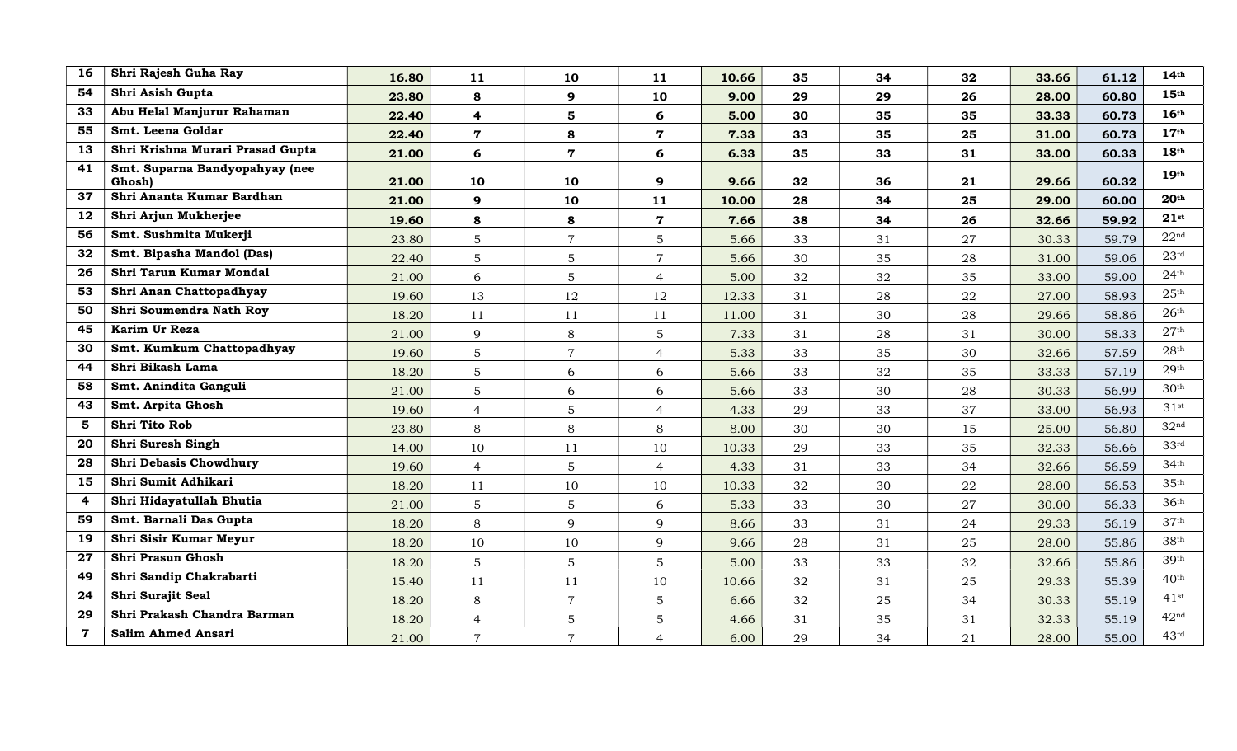| 16             | Shri Rajesh Guha Ray                     | 16.80 | 11                      | 10             | 11             | 10.66 | 35 | 34 | 32 | 33.66 | 61.12 | 14 <sup>th</sup>   |
|----------------|------------------------------------------|-------|-------------------------|----------------|----------------|-------|----|----|----|-------|-------|--------------------|
| 54             | Shri Asish Gupta                         | 23.80 | 8                       | 9              | 10             | 9.00  | 29 | 29 | 26 | 28.00 | 60.80 | 15 <sup>th</sup>   |
| 33             | Abu Helal Manjurur Rahaman               | 22.40 | $\overline{\mathbf{4}}$ | 5              | 6              | 5.00  | 30 | 35 | 35 | 33.33 | 60.73 | 16th               |
| 55             | Smt. Leena Goldar                        | 22.40 | $\overline{7}$          | 8              | $\overline{7}$ | 7.33  | 33 | 35 | 25 | 31.00 | 60.73 | 17 <sup>th</sup>   |
| 13             | Shri Krishna Murari Prasad Gupta         | 21.00 | 6                       | $\overline{7}$ | 6              | 6.33  | 35 | 33 | 31 | 33.00 | 60.33 | 18 <sup>th</sup>   |
| 41             | Smt. Suparna Bandyopahyay (nee<br>Ghosh) | 21.00 | 10                      | 10             | 9              | 9.66  | 32 | 36 | 21 | 29.66 | 60.32 | 19 <sup>th</sup>   |
| 37             | Shri Ananta Kumar Bardhan                | 21.00 | 9                       | 10             | 11             | 10.00 | 28 | 34 | 25 | 29.00 | 60.00 | 20 <sup>th</sup>   |
| 12             | Shri Arjun Mukherjee                     | 19.60 | 8                       | 8              | $\overline{7}$ | 7.66  | 38 | 34 | 26 | 32.66 | 59.92 | 21st               |
| 56             | Smt. Sushmita Mukerji                    | 23.80 | $\overline{5}$          | $\overline{7}$ | 5              | 5.66  | 33 | 31 | 27 | 30.33 | 59.79 | 22 <sup>nd</sup>   |
| 32             | Smt. Bipasha Mandol (Das)                | 22.40 | 5                       | 5              | $\overline{7}$ | 5.66  | 30 | 35 | 28 | 31.00 | 59.06 | 23 <sup>rd</sup>   |
| 26             | Shri Tarun Kumar Mondal                  | 21.00 | 6                       | 5              | $\overline{4}$ | 5.00  | 32 | 32 | 35 | 33.00 | 59.00 | 24 <sup>th</sup>   |
| 53             | Shri Anan Chattopadhyay                  | 19.60 | 13                      | 12             | 12             | 12.33 | 31 | 28 | 22 | 27.00 | 58.93 | 25 <sup>th</sup>   |
| 50             | Shri Soumendra Nath Roy                  | 18.20 | 11                      | 11             | 11             | 11.00 | 31 | 30 | 28 | 29.66 | 58.86 | 26 <sup>th</sup>   |
| 45             | Karim Ur Reza                            | 21.00 | 9                       | 8              | 5 <sup>5</sup> | 7.33  | 31 | 28 | 31 | 30.00 | 58.33 | 27 <sup>th</sup>   |
| 30             | Smt. Kumkum Chattopadhyay                | 19.60 | $\overline{5}$          | $\overline{7}$ | $\overline{4}$ | 5.33  | 33 | 35 | 30 | 32.66 | 57.59 | 28 <sup>th</sup>   |
| 44             | Shri Bikash Lama                         | 18.20 | $\overline{5}$          | 6              | 6              | 5.66  | 33 | 32 | 35 | 33.33 | 57.19 | 29 <sup>th</sup>   |
| 58             | Smt. Anindita Ganguli                    | 21.00 | 5                       | 6              | 6              | 5.66  | 33 | 30 | 28 | 30.33 | 56.99 | 30 <sup>th</sup>   |
| 43             | Smt. Arpita Ghosh                        | 19.60 | $\overline{4}$          | $5\phantom{.}$ | $\overline{4}$ | 4.33  | 29 | 33 | 37 | 33.00 | 56.93 | $31$ st            |
| 5              | Shri Tito Rob                            | 23.80 | 8                       | 8              | 8              | 8.00  | 30 | 30 | 15 | 25.00 | 56.80 | 32 <sup>nd</sup>   |
| 20             | <b>Shri Suresh Singh</b>                 | 14.00 | 10                      | 11             | 10             | 10.33 | 29 | 33 | 35 | 32.33 | 56.66 | 33 <sup>rd</sup>   |
| 28             | Shri Debasis Chowdhury                   | 19.60 | $\overline{4}$          | 5              | $\overline{4}$ | 4.33  | 31 | 33 | 34 | 32.66 | 56.59 | 34 <sup>th</sup>   |
| 15             | Shri Sumit Adhikari                      | 18.20 | 11                      | 10             | 10             | 10.33 | 32 | 30 | 22 | 28.00 | 56.53 | 35 <sup>th</sup>   |
| $\overline{4}$ | Shri Hidayatullah Bhutia                 | 21.00 | 5                       | 5              | 6              | 5.33  | 33 | 30 | 27 | 30.00 | 56.33 | 36 <sup>th</sup>   |
| 59             | Smt. Barnali Das Gupta                   | 18.20 | 8                       | 9              | 9              | 8.66  | 33 | 31 | 24 | 29.33 | 56.19 | 37 <sup>th</sup>   |
| 19             | Shri Sisir Kumar Meyur                   | 18.20 | 10                      | 10             | 9              | 9.66  | 28 | 31 | 25 | 28.00 | 55.86 | 38 <sup>th</sup>   |
| 27             | Shri Prasun Ghosh                        | 18.20 | 5                       | 5              | 5              | 5.00  | 33 | 33 | 32 | 32.66 | 55.86 | 39th               |
| 49             | Shri Sandip Chakrabarti                  | 15.40 | 11                      | 11             | 10             | 10.66 | 32 | 31 | 25 | 29.33 | 55.39 | 40 <sup>th</sup>   |
| 24             | Shri Surajit Seal                        | 18.20 | 8                       | $\overline{7}$ | 5              | 6.66  | 32 | 25 | 34 | 30.33 | 55.19 | $41$ <sup>st</sup> |
| 29             | Shri Prakash Chandra Barman              | 18.20 | $\overline{4}$          | $5\phantom{.}$ | 5              | 4.66  | 31 | 35 | 31 | 32.33 | 55.19 | 42 <sup>nd</sup>   |
| $\mathbf 7$    | <b>Salim Ahmed Ansari</b>                | 21.00 | $\overline{7}$          | $\overline{7}$ | $\overline{4}$ | 6.00  | 29 | 34 | 21 | 28.00 | 55.00 | 43 <sup>rd</sup>   |